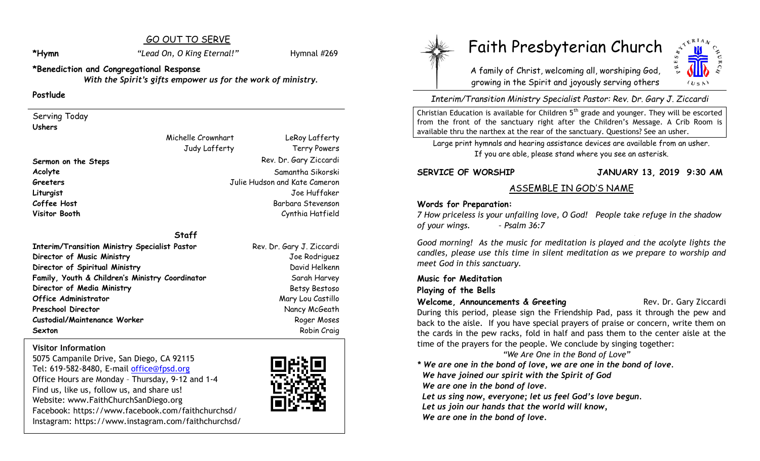# GO OUT TO SERVE

# **\*Hymn** *"Lead On, O King Eternal!"* Hymnal #269

**\*Benediction and Congregational Response** *With the Spirit's gifts empower us for the work of ministry.*

### **Postlude**

Serving Today **Ushers**

# **Staff**

**Interim/Transition Ministry Specialist Pastor Rev. Dr. Gary J. Ziccardi Director of Music Ministry** Joe Rodriguez **Director of Spiritual Ministry** David Helkenn Family, Youth & Children's Ministry Coordinator **Sanglery Sanglery** Sarah Harvey **Director of Media Ministry Sexually Betsy Bestoso Office Administrator** Mary Lou Castillo **Preschool Director** Nancy McGeath **Custodial/Maintenance Worker Roger Moses** Roger Moses **Sexton** Robin Craig

**Visitor Information**

5075 Campanile Drive, San Diego, CA 92115 Tel: 619-582-8480, E-mail office@fpsd.org Office Hours are Monday – Thursday, 9-12 and 1-4 Find us, like us, follow us, and share us! Website: www.FaithChurchSanDiego.org Facebook: https://www.facebook.com/faithchurchsd/ Instagram: https://www.instagram.com/faithchurchsd/





# Faith Presbyterian Church

A family of Christ, welcoming all, worshiping God, growing in the Spirit and joyously serving others



*Interim/Transition Ministry Specialist Pastor: Rev. Dr. Gary J. Ziccardi*

Christian Education is available for Children  $5<sup>th</sup>$  grade and younger. They will be escorted from the front of the sanctuary right after the Children's Message. A Crib Room is available thru the narthex at the rear of the sanctuary. Questions? See an usher.

Large print hymnals and hearing assistance devices are available from an usher. If you are able, please stand where you see an asterisk.

**SERVICE OF WORSHIP JANUARY 13, 2019 9:30 AM**

# ASSEMBLE IN GOD'S NAME

### **Words for Preparation:**

*7 How priceless is your unfailing love, O God! People take refuge in the shadow of your wings. – Psalm 36:7*

*Good morning! As the music for meditation is played and the acolyte lights the candles, please use this time in silent meditation as we prepare to worship and meet God in this sanctuary.*

### **Music for Meditation Playing of the Bells**

**Welcome, Announcements & Greeting <b>Example 20** Rev. Dr. Gary Ziccardi

During this period, please sign the Friendship Pad, pass it through the pew and back to the aisle. If you have special prayers of praise or concern, write them on the cards in the pew racks, fold in half and pass them to the center aisle at the time of the prayers for the people. We conclude by singing together:

 *"We Are One in the Bond of Love"*

*\* We are one in the bond of love, we are one in the bond of love. We have joined our spirit with the Spirit of God* 

 *We are one in the bond of love.*

Let us sing now, everyone; let us feel God's love begun.

 *Let us join our hands that the world will know,* 

 *We are one in the bond of love.*

# Michelle Crownhart Judy Lafferty

Terry Powers **Sermon on the Steps** Rev. Dr. Gary Ziccardi **Acolyte** Samantha Sikorski **Greeters** Julie Hudson and Kate Cameron **Liturgist** Joe Huffaker **Coffee Host** Barbara Stevenson **Visitor Booth** Cynthia Hatfield

LeRoy Lafferty